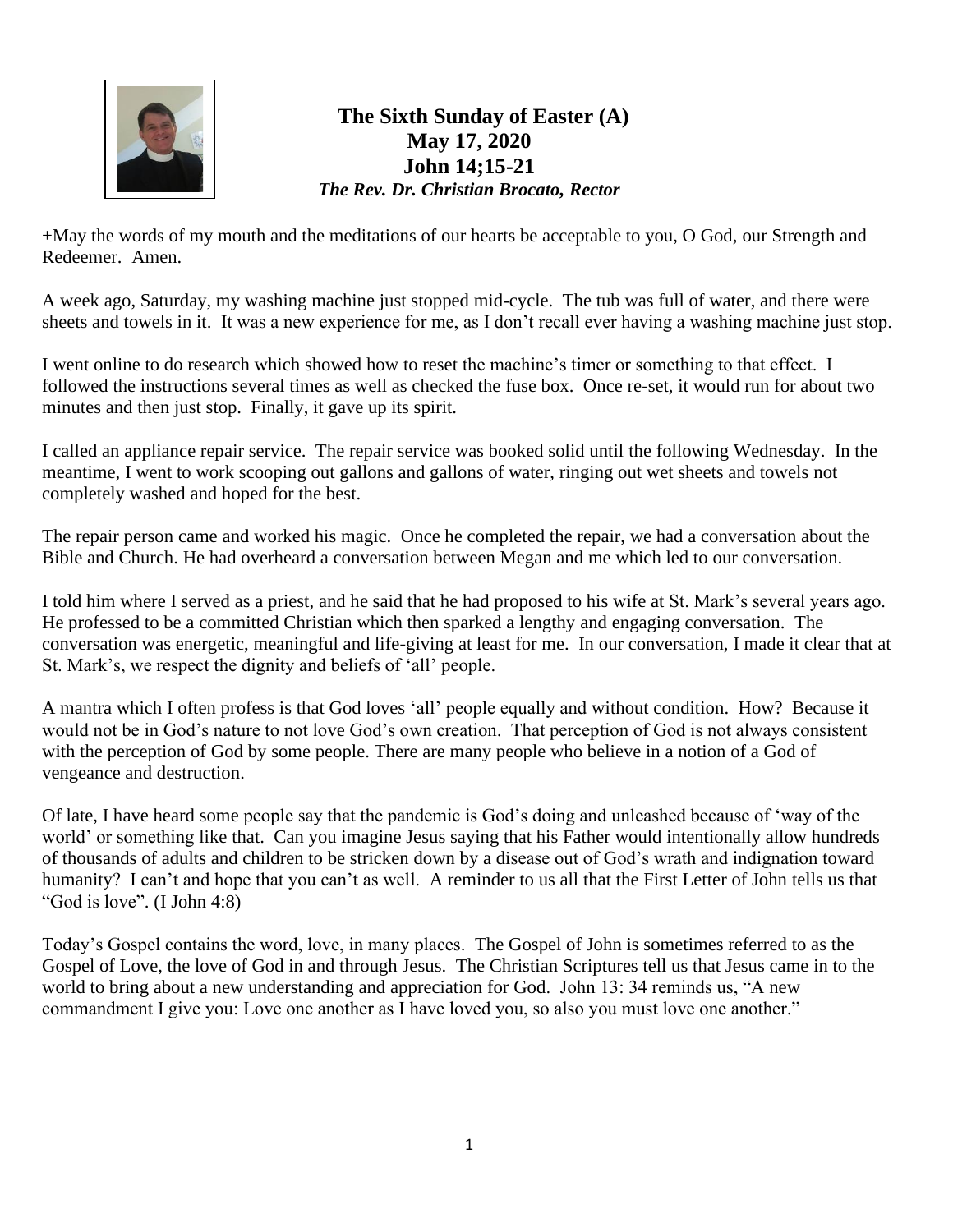

## **The Sixth Sunday of Easter (A) May 17, 2020 John 14;15-21** *The Rev. Dr. Christian Brocato, Rector*

+May the words of my mouth and the meditations of our hearts be acceptable to you, O God, our Strength and Redeemer. Amen.

A week ago, Saturday, my washing machine just stopped mid-cycle. The tub was full of water, and there were sheets and towels in it. It was a new experience for me, as I don't recall ever having a washing machine just stop.

I went online to do research which showed how to reset the machine's timer or something to that effect. I followed the instructions several times as well as checked the fuse box. Once re-set, it would run for about two minutes and then just stop. Finally, it gave up its spirit.

I called an appliance repair service. The repair service was booked solid until the following Wednesday. In the meantime, I went to work scooping out gallons and gallons of water, ringing out wet sheets and towels not completely washed and hoped for the best.

The repair person came and worked his magic. Once he completed the repair, we had a conversation about the Bible and Church. He had overheard a conversation between Megan and me which led to our conversation.

I told him where I served as a priest, and he said that he had proposed to his wife at St. Mark's several years ago. He professed to be a committed Christian which then sparked a lengthy and engaging conversation. The conversation was energetic, meaningful and life-giving at least for me. In our conversation, I made it clear that at St. Mark's, we respect the dignity and beliefs of 'all' people.

A mantra which I often profess is that God loves 'all' people equally and without condition. How? Because it would not be in God's nature to not love God's own creation. That perception of God is not always consistent with the perception of God by some people. There are many people who believe in a notion of a God of vengeance and destruction.

Of late, I have heard some people say that the pandemic is God's doing and unleashed because of 'way of the world' or something like that. Can you imagine Jesus saying that his Father would intentionally allow hundreds of thousands of adults and children to be stricken down by a disease out of God's wrath and indignation toward humanity? I can't and hope that you can't as well. A reminder to us all that the First Letter of John tells us that "God is love". (I John 4:8)

Today's Gospel contains the word, love, in many places. The Gospel of John is sometimes referred to as the Gospel of Love, the love of God in and through Jesus. The Christian Scriptures tell us that Jesus came in to the world to bring about a new understanding and appreciation for God. John 13: 34 reminds us, "A new commandment I give you: Love one another as I have loved you, so also you must love one another."